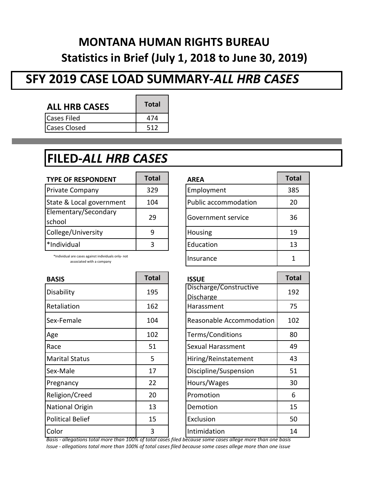### **MONTANA HUMAN RIGHTS BUREAU Statistics in Brief (July 1, 2018 to June 30, 2019)**

## **SFY 2019 CASE LOAD SUMMARY-***ALL HRB CASES*

| <b>ALL HRB CASES</b> | <b>Total</b> |
|----------------------|--------------|
| Cases Filed          | 474          |
| <b>Cases Closed</b>  | 512          |

### **FILED-***ALL HRB CASES*

| <b>TYPE OF RESPONDENT</b>      | <b>Total</b> | <b>AREA</b>          | <b>Total</b> |
|--------------------------------|--------------|----------------------|--------------|
| <b>Private Company</b>         | 329          | Employment           | 385          |
| State & Local government       | 104          | Public accommodation | 20           |
| Elementary/Secondary<br>school | 29           | Government service   | 36           |
| College/University             |              | Housing              | 19           |
| *Individual                    |              | Education            | 13           |

\*Individual are cases against individuals only- not associated with a company

| <b>BASIS</b>     | <b>Total</b> | <b>ISSUE</b>             | <b>Total</b> |
|------------------|--------------|--------------------------|--------------|
| Disability       | 195          | Discharge/Constructive   | 192          |
|                  |              | <b>Discharge</b>         |              |
| Retaliation      | 162          | Harassment               | 75           |
| Sex-Female       | 104          | Reasonable Accommodation | 102          |
| Age              | 102          | Terms/Conditions         | 80           |
| Race             | 51           | Sexual Harassment        | 49           |
| Marital Status   | 5            | Hiring/Reinstatement     | 43           |
| Sex-Male         | 17           | Discipline/Suspension    | 51           |
| Pregnancy        | 22           | Hours/Wages              | 30           |
| Religion/Creed   | 20           | Promotion                | 6            |
| National Origin  | 13           | Demotion                 | 15           |
| Political Belief | 15           | Exclusion                | 50           |
| Color            | 3            | Intimidation             | 14           |

| <b>AREA</b>                 | <b>Total</b> |
|-----------------------------|--------------|
| Employment                  | 385          |
| <b>Public accommodation</b> | 20           |
| Government service          | 36           |
| Housing                     | 19           |
| Education                   | 13           |
| Insurance                   |              |

| <b>ISSUE</b>                    | <b>Total</b> |
|---------------------------------|--------------|
| Discharge/Constructive          | 192          |
| Discharge                       |              |
| Harassment                      | 75           |
| <b>Reasonable Accommodation</b> | 102          |
| Terms/Conditions                | 80           |
| Sexual Harassment               | 49           |
| Hiring/Reinstatement            | 43           |
| Discipline/Suspension           | 51           |
| Hours/Wages                     | 30           |
| Promotion                       | 6            |
| Demotion                        | 15           |
| <b>Exclusion</b>                | 50           |
| Intimidation                    | 14           |

*Basis - allegations total more than 100% of total cases filed because some cases allege more than one basis*

*Issue - allegations total more than 100% of total cases filed because some cases allege more than one issue*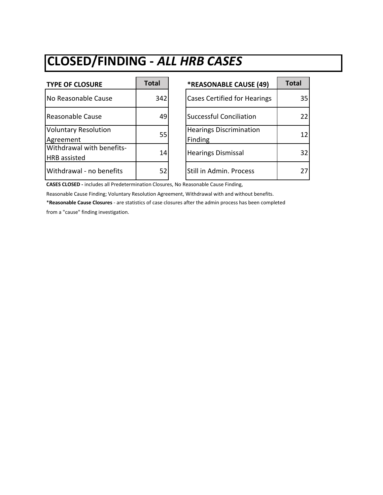# **CLOSED/FINDING -** *ALL HRB CASES*

| <b>TYPE OF CLOSURE</b>                           | <b>Total</b> | *REASONABLE CAUSE (49)                    | <b>Total</b> |
|--------------------------------------------------|--------------|-------------------------------------------|--------------|
| No Reasonable Cause                              | 342          | <b>Cases Certified for Hearings</b>       | 35           |
| Reasonable Cause                                 | 49           | <b>Successful Conciliation</b>            | 22           |
| <b>Voluntary Resolution</b><br>Agreement         | 55           | <b>Hearings Discrimination</b><br>Finding | 12           |
| Withdrawal with benefits-<br><b>HRB</b> assisted | 14           | <b>Hearings Dismissal</b>                 | 32           |
| Withdrawal - no benefits                         | 52           | Still in Admin. Process                   | 27           |

| *REASONABLE CAUSE (49)                    | <b>Total</b> |
|-------------------------------------------|--------------|
| <b>Cases Certified for Hearings</b>       | 35           |
| <b>Successful Conciliation</b>            | 22           |
| <b>Hearings Discrimination</b><br>Finding | 12           |
| <b>Hearings Dismissal</b>                 | 32           |
| Still in Admin. Process                   |              |

**CASES CLOSED -** includes all Predetermination Closures, No Reasonable Cause Finding,

Reasonable Cause Finding; Voluntary Resolution Agreement, Withdrawal with and without benefits.

\***Reasonable Cause Closures** - are statistics of case closures after the admin process has been completed

from a "cause" finding investigation.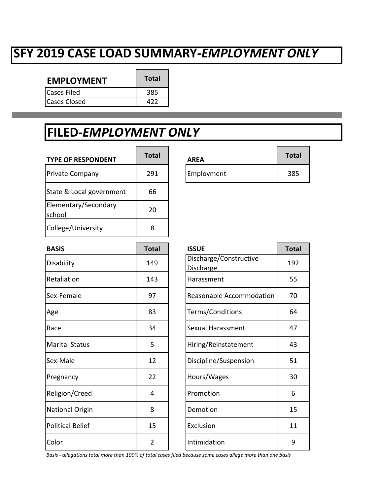### **SFY 2019 CASE LOAD SUMMARY-***EMPLOYMENT ONLY*

| <b>EMPLOYMENT</b>  | <b>Total</b> |
|--------------------|--------------|
| <b>Cases Filed</b> | 385          |
| lCases Closed      | 477          |

#### **FILED-***EMPLOYMENT ONLY*

| <b>TYPE OF RESPONDENT</b>      | <b>Total</b> | <b>AREA</b> | <b>Total</b> |
|--------------------------------|--------------|-------------|--------------|
| <b>Private Company</b>         | 291          | Employment  | 385          |
| State & Local government       | 66           |             |              |
| Elementary/Secondary<br>school | 20           |             |              |
| College/University             | 8            |             |              |

| <b>BASIS</b>            | <b>Total</b>   | <b>ISSUE</b>                               | <b>Total</b> |
|-------------------------|----------------|--------------------------------------------|--------------|
| Disability              | 149            | Discharge/Constructive<br><b>Discharge</b> | 192          |
| Retaliation             | 143            | Harassment                                 | 55           |
| Sex-Female              | 97             | Reasonable Accommodation                   | 70           |
| Age                     | 83             | Terms/Conditions                           | 64           |
| Race                    | 34             | Sexual Harassment                          | 47           |
| <b>Marital Status</b>   | 5              | Hiring/Reinstatement                       | 43           |
| Sex-Male                | 12             | Discipline/Suspension                      | 51           |
| Pregnancy               | 22             | Hours/Wages                                | 30           |
| Religion/Creed          | 4              | Promotion                                  | 6            |
| <b>National Origin</b>  | 8              | Demotion                                   | 15           |
| <b>Political Belief</b> | 15             | Exclusion                                  | 11           |
| Color                   | $\overline{2}$ | Intimidation                               | 9            |

| <b>AREA</b> | <b>Total</b> |
|-------------|--------------|
| Employment  | 385          |

| <b>ISSUE</b>                               | <b>Total</b> |
|--------------------------------------------|--------------|
| Discharge/Constructive<br><b>Discharge</b> | 192          |
| Harassment                                 | 55           |
| Reasonable Accommodation                   | 70           |
| Terms/Conditions                           | 64           |
| <b>Sexual Harassment</b>                   | 47           |
| Hiring/Reinstatement                       | 43           |
| Discipline/Suspension                      | 51           |
| Hours/Wages                                | 30           |
| Promotion                                  | 6            |
| Demotion                                   | 15           |
| Exclusion                                  | 11           |
| Intimidation                               | q            |

*Basis - allegations total more than 100% of total cases filed because some cases allege more than one basis*